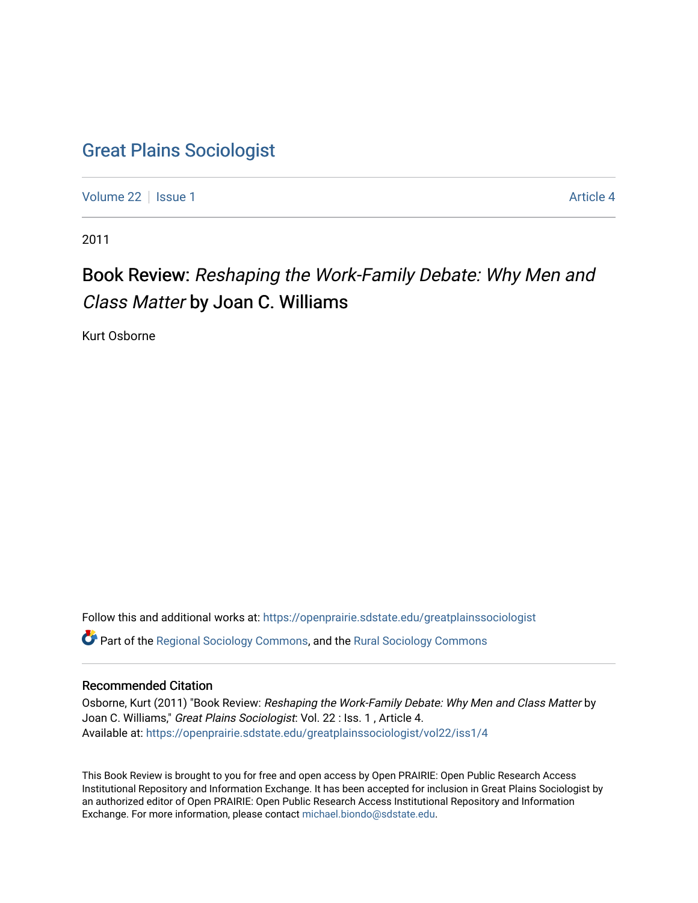### [Great Plains Sociologist](https://openprairie.sdstate.edu/greatplainssociologist)

[Volume 22](https://openprairie.sdstate.edu/greatplainssociologist/vol22) | [Issue 1](https://openprairie.sdstate.edu/greatplainssociologist/vol22/iss1) Article 4

2011

## Book Review: Reshaping the Work-Family Debate: Why Men and Class Matter by Joan C. Williams

Kurt Osborne

Follow this and additional works at: [https://openprairie.sdstate.edu/greatplainssociologist](https://openprairie.sdstate.edu/greatplainssociologist?utm_source=openprairie.sdstate.edu%2Fgreatplainssociologist%2Fvol22%2Fiss1%2F4&utm_medium=PDF&utm_campaign=PDFCoverPages)  Part of the [Regional Sociology Commons](http://network.bepress.com/hgg/discipline/427?utm_source=openprairie.sdstate.edu%2Fgreatplainssociologist%2Fvol22%2Fiss1%2F4&utm_medium=PDF&utm_campaign=PDFCoverPages), and the [Rural Sociology Commons](http://network.bepress.com/hgg/discipline/428?utm_source=openprairie.sdstate.edu%2Fgreatplainssociologist%2Fvol22%2Fiss1%2F4&utm_medium=PDF&utm_campaign=PDFCoverPages) 

#### Recommended Citation

Osborne, Kurt (2011) "Book Review: Reshaping the Work-Family Debate: Why Men and Class Matter by Joan C. Williams," Great Plains Sociologist: Vol. 22 : Iss. 1 , Article 4. Available at: [https://openprairie.sdstate.edu/greatplainssociologist/vol22/iss1/4](https://openprairie.sdstate.edu/greatplainssociologist/vol22/iss1/4?utm_source=openprairie.sdstate.edu%2Fgreatplainssociologist%2Fvol22%2Fiss1%2F4&utm_medium=PDF&utm_campaign=PDFCoverPages)

This Book Review is brought to you for free and open access by Open PRAIRIE: Open Public Research Access Institutional Repository and Information Exchange. It has been accepted for inclusion in Great Plains Sociologist by an authorized editor of Open PRAIRIE: Open Public Research Access Institutional Repository and Information Exchange. For more information, please contact [michael.biondo@sdstate.edu.](mailto:michael.biondo@sdstate.edu)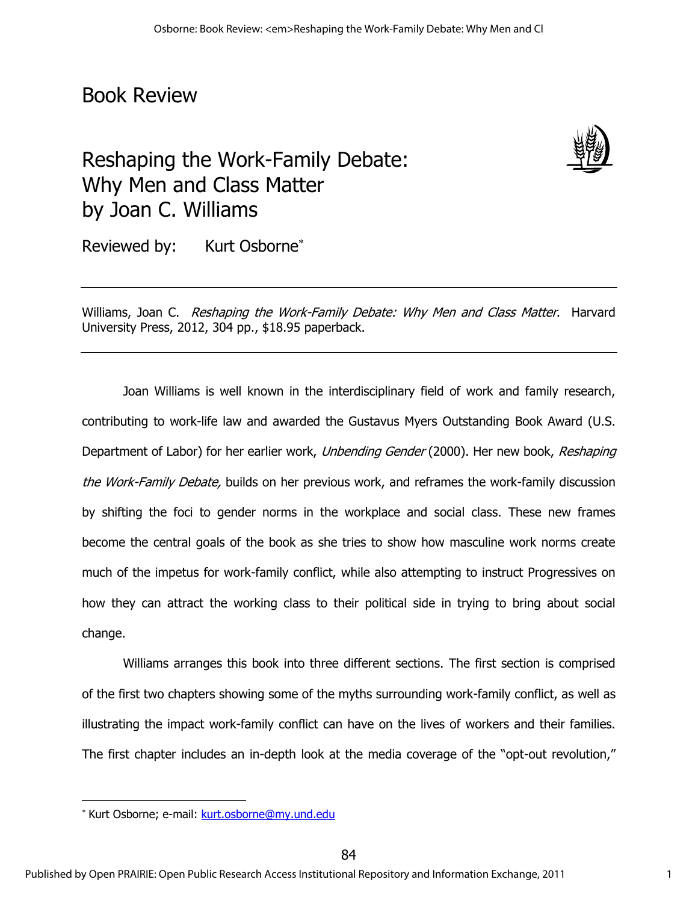## Book Review

# Reshaping the Work-Family Debate: Why Men and Class Matter by Joan C. Williams



Reviewed by: Kurt Osborne<sup>\*</sup>

Williams, Joan C. Reshaping the Work-Family Debate: Why Men and Class Matter. Harvard University Press, 2012, 304 pp., \$18.95 paperback.

Joan Williams is well known in the interdisciplinary field of work and family research, contributing to work-life law and awarded the Gustavus Myers Outstanding Book Award (U.S. Department of Labor) for her earlier work, Unbending Gender (2000). Her new book, Reshaping the Work-Family Debate, builds on her previous work, and reframes the work-family discussion by shifting the foci to gender norms in the workplace and social class. These new frames become the central goals of the book as she tries to show how masculine work norms create much of the impetus for work-family conflict, while also attempting to instruct Progressives on how they can attract the working class to their political side in trying to bring about social change.

Williams arranges this book into three different sections. The first section is comprised of the first two chapters showing some of the myths surrounding work-family conflict, as well as illustrating the impact work-family conflict can have on the lives of workers and their families. The first chapter includes an in-depth look at the media coverage of the "opt-out revolution,"

 $\overline{a}$ 

<sup>\*</sup> Kurt Osborne; e-mail: kurt.osborne@my.und.edu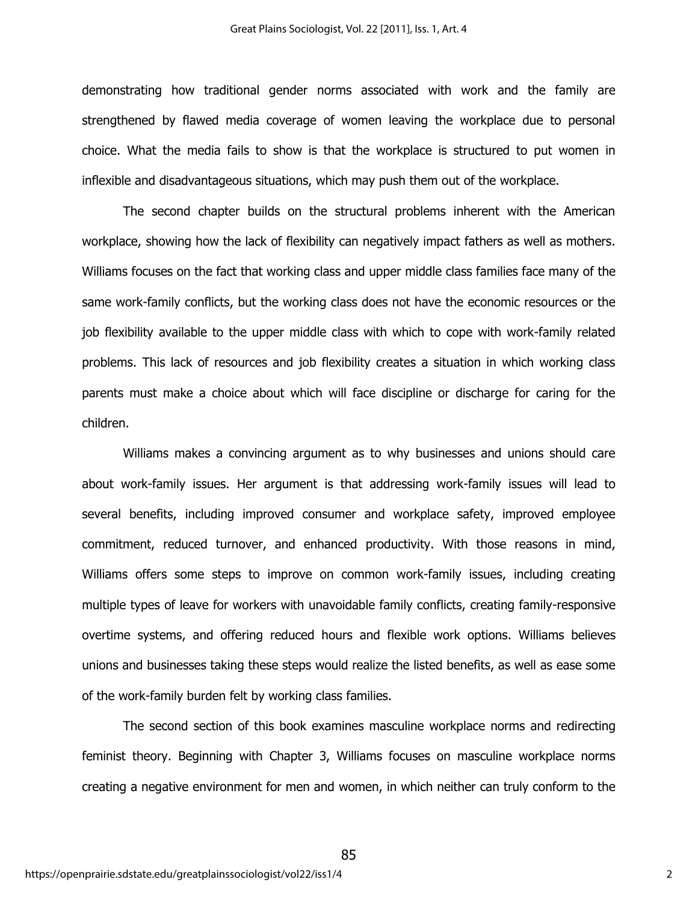demonstrating how traditional gender norms associated with work and the family are strengthened by flawed media coverage of women leaving the workplace due to personal choice. What the media fails to show is that the workplace is structured to put women in inflexible and disadvantageous situations, which may push them out of the workplace.

The second chapter builds on the structural problems inherent with the American workplace, showing how the lack of flexibility can negatively impact fathers as well as mothers. Williams focuses on the fact that working class and upper middle class families face many of the same work-family conflicts, but the working class does not have the economic resources or the job flexibility available to the upper middle class with which to cope with work-family related problems. This lack of resources and job flexibility creates a situation in which working class parents must make a choice about which will face discipline or discharge for caring for the children.

Williams makes a convincing argument as to why businesses and unions should care about work-family issues. Her argument is that addressing work-family issues will lead to several benefits, including improved consumer and workplace safety, improved employee commitment, reduced turnover, and enhanced productivity. With those reasons in mind, Williams offers some steps to improve on common work-family issues, including creating multiple types of leave for workers with unavoidable family conflicts, creating family-responsive overtime systems, and offering reduced hours and flexible work options. Williams believes unions and businesses taking these steps would realize the listed benefits, as well as ease some of the work-family burden felt by working class families.

The second section of this book examines masculine workplace norms and redirecting feminist theory. Beginning with Chapter 3, Williams focuses on masculine workplace norms creating a negative environment for men and women, in which neither can truly conform to the

85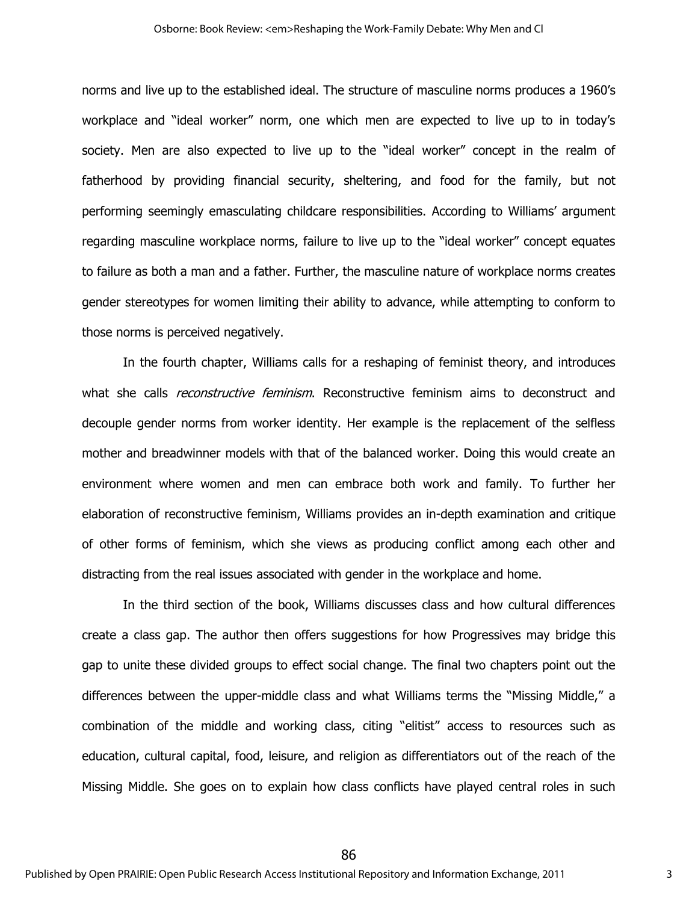norms and live up to the established ideal. The structure of masculine norms produces a 1960's workplace and "ideal worker" norm, one which men are expected to live up to in today's society. Men are also expected to live up to the "ideal worker" concept in the realm of fatherhood by providing financial security, sheltering, and food for the family, but not performing seemingly emasculating childcare responsibilities. According to Williams' argument regarding masculine workplace norms, failure to live up to the "ideal worker" concept equates to failure as both a man and a father. Further, the masculine nature of workplace norms creates gender stereotypes for women limiting their ability to advance, while attempting to conform to those norms is perceived negatively.

In the fourth chapter, Williams calls for a reshaping of feminist theory, and introduces what she calls *reconstructive feminism*. Reconstructive feminism aims to deconstruct and decouple gender norms from worker identity. Her example is the replacement of the selfless mother and breadwinner models with that of the balanced worker. Doing this would create an environment where women and men can embrace both work and family. To further her elaboration of reconstructive feminism, Williams provides an in-depth examination and critique of other forms of feminism, which she views as producing conflict among each other and distracting from the real issues associated with gender in the workplace and home.

In the third section of the book, Williams discusses class and how cultural differences create a class gap. The author then offers suggestions for how Progressives may bridge this gap to unite these divided groups to effect social change. The final two chapters point out the differences between the upper-middle class and what Williams terms the "Missing Middle," a combination of the middle and working class, citing "elitist" access to resources such as education, cultural capital, food, leisure, and religion as differentiators out of the reach of the Missing Middle. She goes on to explain how class conflicts have played central roles in such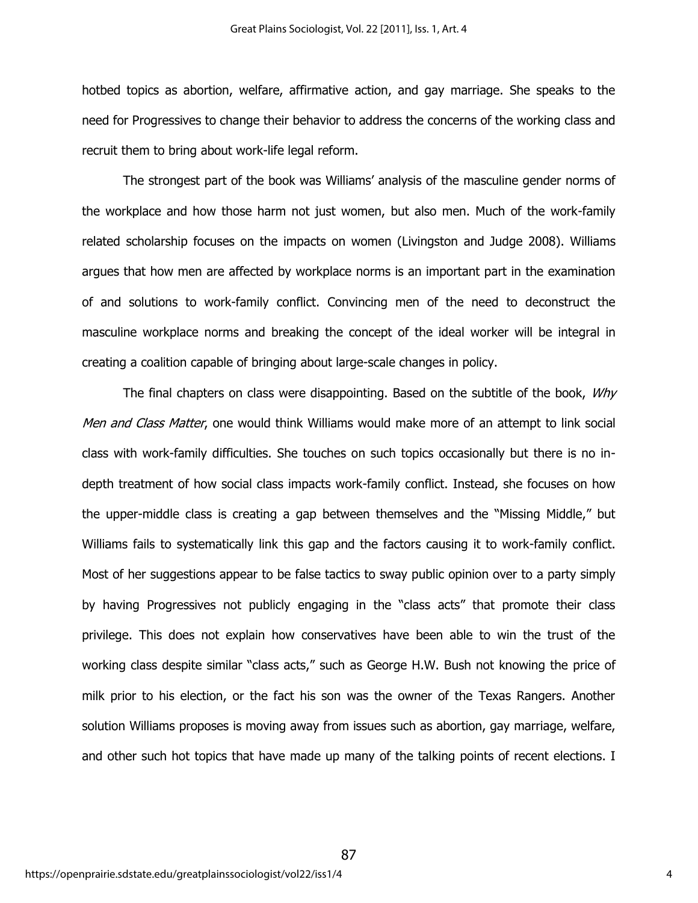hotbed topics as abortion, welfare, affirmative action, and gay marriage. She speaks to the need for Progressives to change their behavior to address the concerns of the working class and recruit them to bring about work-life legal reform.

The strongest part of the book was Williams' analysis of the masculine gender norms of the workplace and how those harm not just women, but also men. Much of the work-family related scholarship focuses on the impacts on women (Livingston and Judge 2008). Williams argues that how men are affected by workplace norms is an important part in the examination of and solutions to work-family conflict. Convincing men of the need to deconstruct the masculine workplace norms and breaking the concept of the ideal worker will be integral in creating a coalition capable of bringing about large-scale changes in policy.

The final chapters on class were disappointing. Based on the subtitle of the book, *Why* Men and Class Matter, one would think Williams would make more of an attempt to link social class with work-family difficulties. She touches on such topics occasionally but there is no indepth treatment of how social class impacts work-family conflict. Instead, she focuses on how the upper-middle class is creating a gap between themselves and the "Missing Middle," but Williams fails to systematically link this gap and the factors causing it to work-family conflict. Most of her suggestions appear to be false tactics to sway public opinion over to a party simply by having Progressives not publicly engaging in the "class acts" that promote their class privilege. This does not explain how conservatives have been able to win the trust of the working class despite similar "class acts," such as George H.W. Bush not knowing the price of milk prior to his election, or the fact his son was the owner of the Texas Rangers. Another solution Williams proposes is moving away from issues such as abortion, gay marriage, welfare, and other such hot topics that have made up many of the talking points of recent elections. I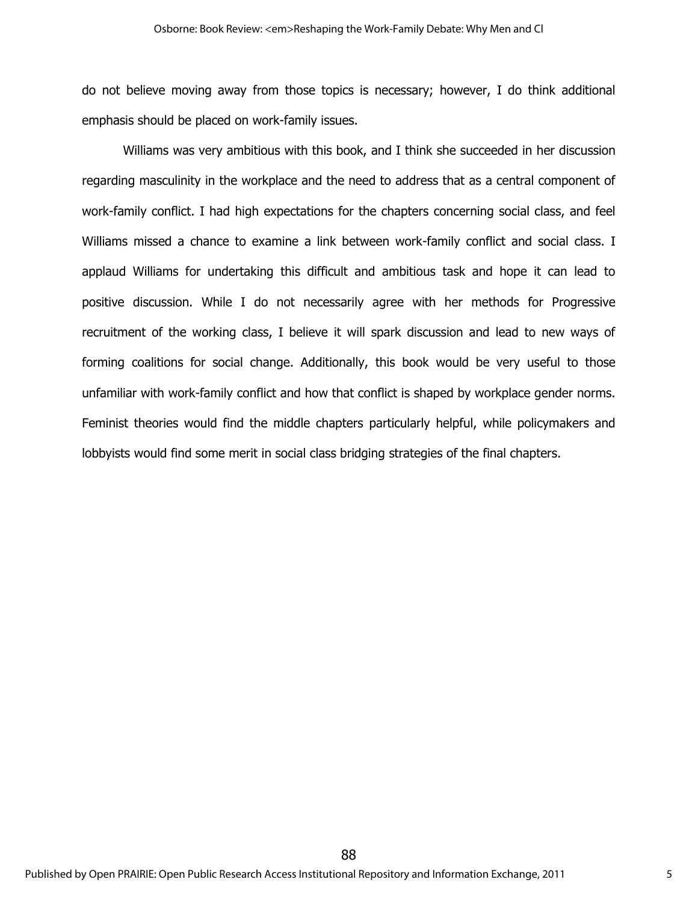do not believe moving away from those topics is necessary; however, I do think additional emphasis should be placed on work-family issues.

Williams was very ambitious with this book, and I think she succeeded in her discussion regarding masculinity in the workplace and the need to address that as a central component of work-family conflict. I had high expectations for the chapters concerning social class, and feel Williams missed a chance to examine a link between work-family conflict and social class. I applaud Williams for undertaking this difficult and ambitious task and hope it can lead to positive discussion. While I do not necessarily agree with her methods for Progressive recruitment of the working class, I believe it will spark discussion and lead to new ways of forming coalitions for social change. Additionally, this book would be very useful to those unfamiliar with work-family conflict and how that conflict is shaped by workplace gender norms. Feminist theories would find the middle chapters particularly helpful, while policymakers and lobbyists would find some merit in social class bridging strategies of the final chapters.